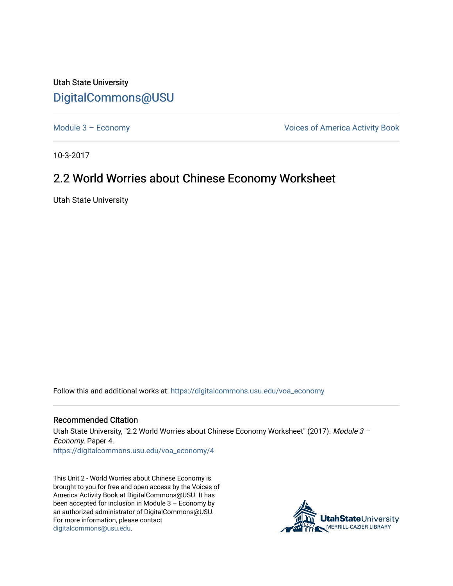Utah State University [DigitalCommons@USU](https://digitalcommons.usu.edu/)

[Module 3 – Economy](https://digitalcommons.usu.edu/voa_economy) **Module 3 – Economy Voices of America Activity Book** 

10-3-2017

## 2.2 World Worries about Chinese Economy Worksheet

Utah State University

Follow this and additional works at: [https://digitalcommons.usu.edu/voa\\_economy](https://digitalcommons.usu.edu/voa_economy?utm_source=digitalcommons.usu.edu%2Fvoa_economy%2F4&utm_medium=PDF&utm_campaign=PDFCoverPages) 

## Recommended Citation

Utah State University, "2.2 World Worries about Chinese Economy Worksheet" (2017). Module 3 -Economy. Paper 4. [https://digitalcommons.usu.edu/voa\\_economy/4](https://digitalcommons.usu.edu/voa_economy/4?utm_source=digitalcommons.usu.edu%2Fvoa_economy%2F4&utm_medium=PDF&utm_campaign=PDFCoverPages) 

This Unit 2 - World Worries about Chinese Economy is brought to you for free and open access by the Voices of America Activity Book at DigitalCommons@USU. It has been accepted for inclusion in Module 3 – Economy by an authorized administrator of DigitalCommons@USU. For more information, please contact [digitalcommons@usu.edu.](mailto:digitalcommons@usu.edu)

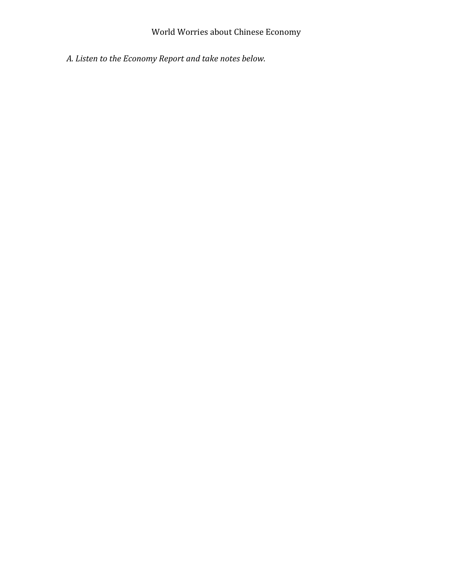## World Worries about Chinese Economy

*A. Listen to the Economy Report and take notes below.*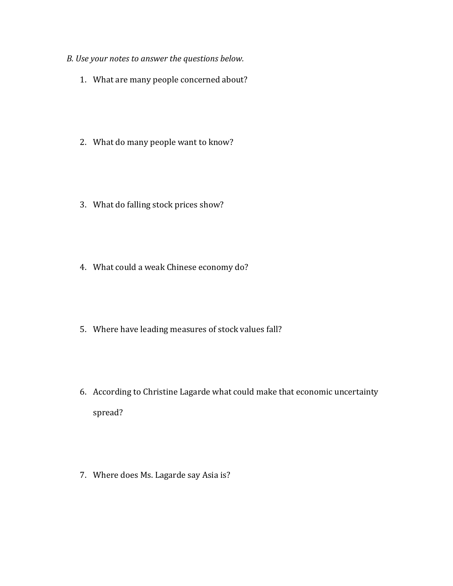- *B. Use your notes to answer the questions below.* 
	- 1. What are many people concerned about?
	- 2. What do many people want to know?
	- 3. What do falling stock prices show?
	- 4. What could a weak Chinese economy do?
	- 5. Where have leading measures of stock values fall?
	- 6. According to Christine Lagarde what could make that economic uncertainty spread?
	- 7. Where does Ms. Lagarde say Asia is?